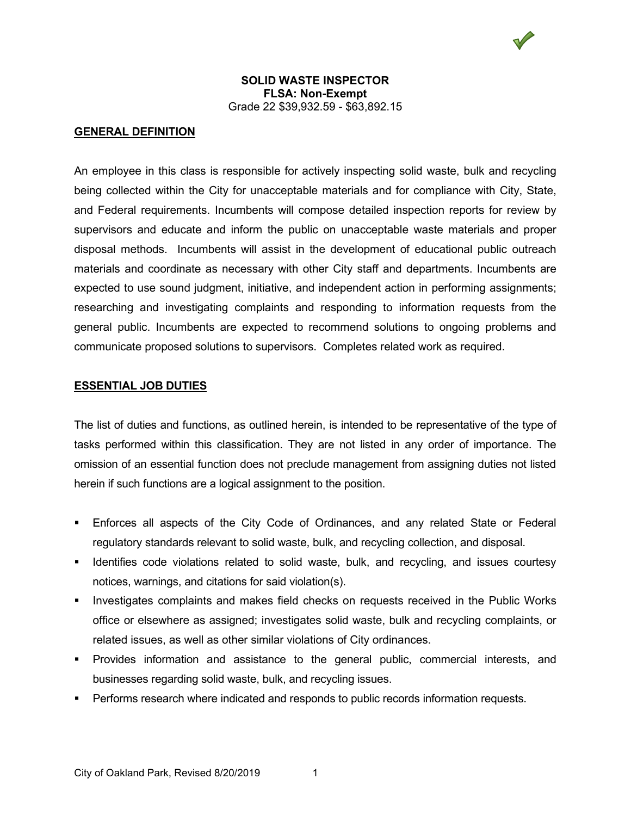

#### **GENERAL DEFINITION**

An employee in this class is responsible for actively inspecting solid waste, bulk and recycling being collected within the City for unacceptable materials and for compliance with City, State, and Federal requirements. Incumbents will compose detailed inspection reports for review by supervisors and educate and inform the public on unacceptable waste materials and proper disposal methods. Incumbents will assist in the development of educational public outreach materials and coordinate as necessary with other City staff and departments. Incumbents are expected to use sound judgment, initiative, and independent action in performing assignments; researching and investigating complaints and responding to information requests from the general public. Incumbents are expected to recommend solutions to ongoing problems and communicate proposed solutions to supervisors. Completes related work as required.

#### **ESSENTIAL JOB DUTIES**

The list of duties and functions, as outlined herein, is intended to be representative of the type of tasks performed within this classification. They are not listed in any order of importance. The omission of an essential function does not preclude management from assigning duties not listed herein if such functions are a logical assignment to the position.

- Enforces all aspects of the City Code of Ordinances, and any related State or Federal regulatory standards relevant to solid waste, bulk, and recycling collection, and disposal.
- **If Identifies code violations related to solid waste, bulk, and recycling, and issues courtesy** notices, warnings, and citations for said violation(s).
- Investigates complaints and makes field checks on requests received in the Public Works office or elsewhere as assigned; investigates solid waste, bulk and recycling complaints, or related issues, as well as other similar violations of City ordinances.
- Provides information and assistance to the general public, commercial interests, and businesses regarding solid waste, bulk, and recycling issues.
- **Performs research where indicated and responds to public records information requests.**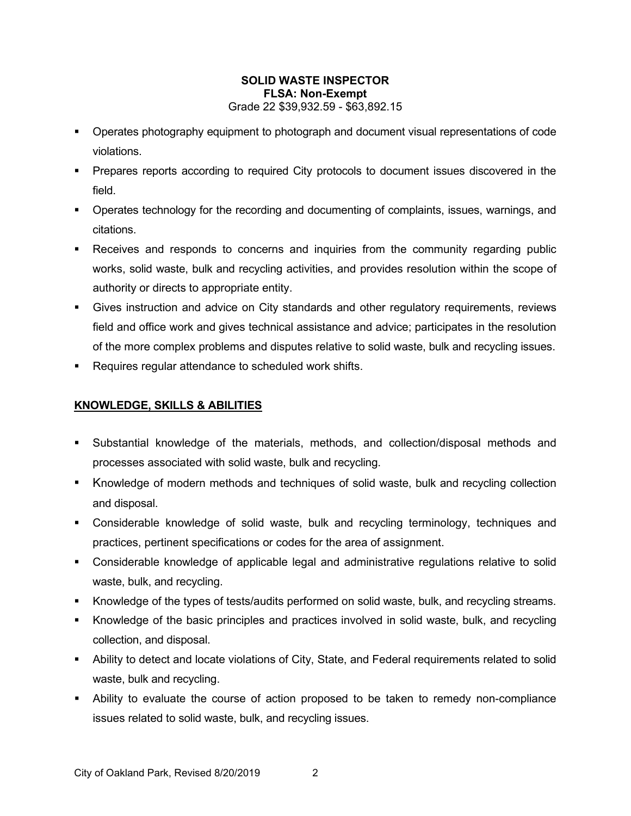- Operates photography equipment to photograph and document visual representations of code violations.
- Prepares reports according to required City protocols to document issues discovered in the field.
- Operates technology for the recording and documenting of complaints, issues, warnings, and citations.
- **Receives and responds to concerns and inquiries from the community regarding public** works, solid waste, bulk and recycling activities, and provides resolution within the scope of authority or directs to appropriate entity.
- Gives instruction and advice on City standards and other regulatory requirements, reviews field and office work and gives technical assistance and advice; participates in the resolution of the more complex problems and disputes relative to solid waste, bulk and recycling issues.
- **Requires regular attendance to scheduled work shifts.**

# **KNOWLEDGE, SKILLS & ABILITIES**

- Substantial knowledge of the materials, methods, and collection/disposal methods and processes associated with solid waste, bulk and recycling.
- Knowledge of modern methods and techniques of solid waste, bulk and recycling collection and disposal.
- Considerable knowledge of solid waste, bulk and recycling terminology, techniques and practices, pertinent specifications or codes for the area of assignment.
- Considerable knowledge of applicable legal and administrative regulations relative to solid waste, bulk, and recycling.
- Knowledge of the types of tests/audits performed on solid waste, bulk, and recycling streams.
- Knowledge of the basic principles and practices involved in solid waste, bulk, and recycling collection, and disposal.
- Ability to detect and locate violations of City, State, and Federal requirements related to solid waste, bulk and recycling.
- Ability to evaluate the course of action proposed to be taken to remedy non-compliance issues related to solid waste, bulk, and recycling issues.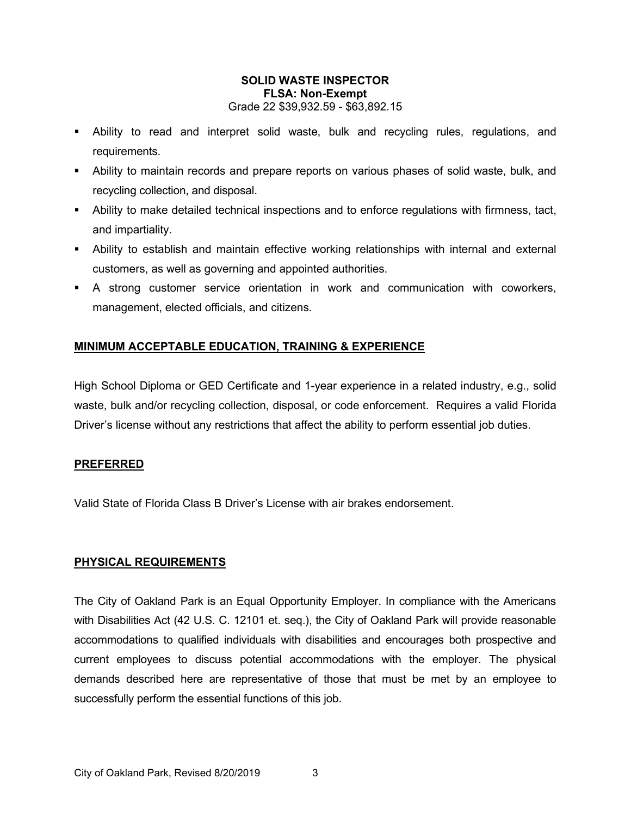- Ability to read and interpret solid waste, bulk and recycling rules, regulations, and requirements.
- Ability to maintain records and prepare reports on various phases of solid waste, bulk, and recycling collection, and disposal.
- Ability to make detailed technical inspections and to enforce regulations with firmness, tact, and impartiality.
- Ability to establish and maintain effective working relationships with internal and external customers, as well as governing and appointed authorities.
- A strong customer service orientation in work and communication with coworkers, management, elected officials, and citizens.

# **MINIMUM ACCEPTABLE EDUCATION, TRAINING & EXPERIENCE**

High School Diploma or GED Certificate and 1-year experience in a related industry, e.g., solid waste, bulk and/or recycling collection, disposal, or code enforcement. Requires a valid Florida Driver's license without any restrictions that affect the ability to perform essential job duties.

# **PREFERRED**

Valid State of Florida Class B Driver's License with air brakes endorsement.

#### **PHYSICAL REQUIREMENTS**

The City of Oakland Park is an Equal Opportunity Employer. In compliance with the Americans with Disabilities Act (42 U.S. C. 12101 et. seq.), the City of Oakland Park will provide reasonable accommodations to qualified individuals with disabilities and encourages both prospective and current employees to discuss potential accommodations with the employer. The physical demands described here are representative of those that must be met by an employee to successfully perform the essential functions of this job.